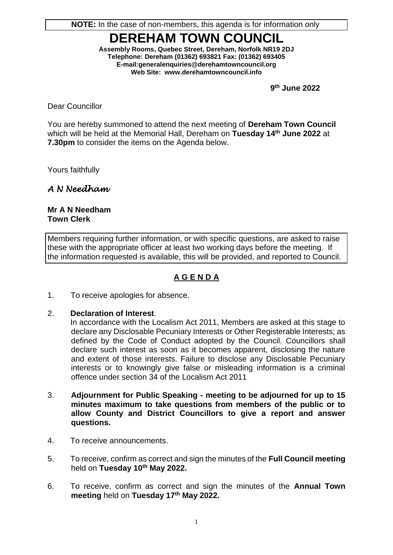**NOTE:** In the case of non-members, this agenda is for information only

# **DEREHAM TOWN COUNCIL**

**Assembly Rooms, Quebec Street, Dereham, Norfolk NR19 2DJ Telephone: Dereham (01362) 693821 Fax: (01362) 693405 E-mail[:generalenquiries@d](mailto:derehamtc@btconnect.com)erehamtowncouncil.org Web Site: www.derehamtowncouncil.info**

 **9 th June 2022**

Dear Councillor

You are hereby summoned to attend the next meeting of **Dereham Town Council** which will be held at the Memorial Hall, Dereham on **Tuesday 14 th June 2022** at **7.30pm** to consider the items on the Agenda below.

Yours faithfully

*A N Needham* 

**Mr A N Needham Town Clerk**

Members requiring further information, or with specific questions, are asked to raise these with the appropriate officer at least two working days before the meeting. If the information requested is available, this will be provided, and reported to Council.

## **A G E N D A**

1. To receive apologies for absence.

#### 2. **Declaration of Interest**.

In accordance with the Localism Act 2011, Members are asked at this stage to declare any Disclosable Pecuniary Interests or Other Registerable Interests; as defined by the Code of Conduct adopted by the Council. Councillors shall declare such interest as soon as it becomes apparent, disclosing the nature and extent of those interests. Failure to disclose any Disclosable Pecuniary interests or to knowingly give false or misleading information is a criminal offence under section 34 of the Localism Act 2011

- 3. **Adjournment for Public Speaking - meeting to be adjourned for up to 15 minutes maximum to take questions from members of the public or to allow County and District Councillors to give a report and answer questions.**
- 4. To receive announcements.
- 5. To receive, confirm as correct and sign the minutes of the **Full Council meeting** held on **Tuesday 10 th May 2022.**
- 6. To receive, confirm as correct and sign the minutes of the **Annual Town meeting** held on **Tuesday 17th May 2022.**